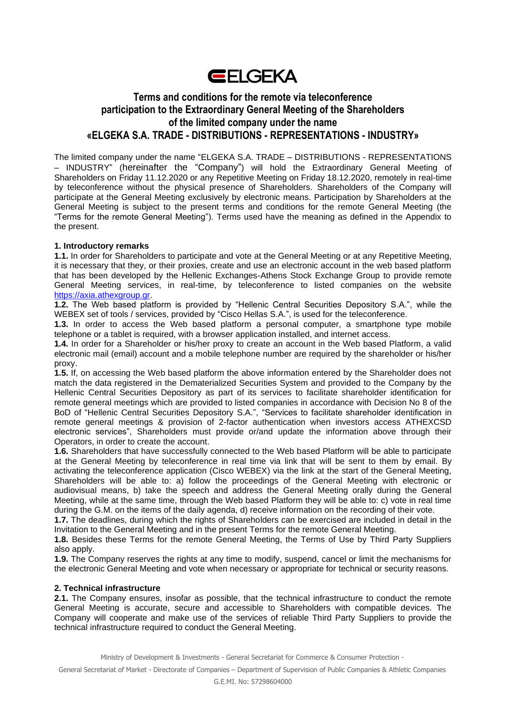

# **Terms and conditions for the remote via teleconference participation to the Extraordinary General Meeting of the Shareholders of the limited company under the name «ELGEKA S.A. TRADE - DISTRIBUTIONS - REPRESENTATIONS - INDUSTRY»**

The limited company under the name "ELGEKA S.A. TRADE – DISTRIBUTIONS - REPRESENTATIONS – INDUSTRY" (hereinafter the "Company") will hold the Extraordinary General Meeting of Shareholders on Friday 11.12.2020 or any Repetitive Meeting on Friday 18.12.2020, remotely in real-time by teleconference without the physical presence of Shareholders. Shareholders of the Company will participate at the General Meeting exclusively by electronic means. Participation by Shareholders at the General Meeting is subject to the present terms and conditions for the remote General Meeting (the "Terms for the remote General Meeting"). Terms used have the meaning as defined in the Appendix to the present.

### **1. Introductory remarks**

**1.1.** In order for Shareholders to participate and vote at the General Meeting or at any Repetitive Meeting, it is necessary that they, or their proxies, create and use an electronic account in the web based platform that has been developed by the Hellenic Exchanges-Athens Stock Exchange Group to provide remote General Meeting services, in real-time, by teleconference to listed companies on the website [https://axia.athexgroup.gr.](https://axia.athexgroup.gr/)

**1.2.** The Web based platform is provided by "Hellenic Central Securities Depository S.A.", while the WEBEX set of tools / services, provided by "Cisco Hellas S.A.", is used for the teleconference.

**1.3.** In order to access the Web based platform a personal computer, a smartphone type mobile telephone or a tablet is required, with a browser application installed, and internet access.

**1.4.** In order for a Shareholder or his/her proxy to create an account in the Web based Platform, a valid electronic mail (email) account and a mobile telephone number are required by the shareholder or his/her proxy.

**1.5.** If, on accessing the Web based platform the above information entered by the Shareholder does not match the data registered in the Dematerialized Securities System and provided to the Company by the Hellenic Central Securities Depository as part of its services to facilitate shareholder identification for remote general meetings which are provided to listed companies in accordance with Decision No 8 of the BoD of "Hellenic Central Securities Depository S.A.", "Services to facilitate shareholder identification in remote general meetings & provision of 2-factor authentication when investors access ATHEXCSD electronic services", Shareholders must provide or/and update the information above through their Operators, in order to create the account.

**1.6.** Shareholders that have successfully connected to the Web based Platform will be able to participate at the General Meeting by teleconference in real time via link that will be sent to them by email. By activating the teleconference application (Cisco WEBEX) via the link at the start of the General Meeting, Shareholders will be able to: a) follow the proceedings of the General Meeting with electronic or audiovisual means, b) take the speech and address the General Meeting orally during the General Meeting, while at the same time, through the Web based Platform they will be able to: c) vote in real time during the G.M. on the items of the daily agenda, d) receive information on the recording of their vote.

**1.7.** The deadlines, during which the rights of Shareholders can be exercised are included in detail in the Invitation to the General Meeting and in the present Terms for the remote General Meeting.

**1.8.** Besides these Terms for the remote General Meeting, the Terms of Use by Third Party Suppliers also apply.

**1.9.** The Company reserves the rights at any time to modify, suspend, cancel or limit the mechanisms for the electronic General Meeting and vote when necessary or appropriate for technical or security reasons.

#### **2. Technical infrastructure**

**2.1.** The Company ensures, insofar as possible, that the technical infrastructure to conduct the remote General Meeting is accurate, secure and accessible to Shareholders with compatible devices. The Company will cooperate and make use of the services of reliable Third Party Suppliers to provide the technical infrastructure required to conduct the General Meeting.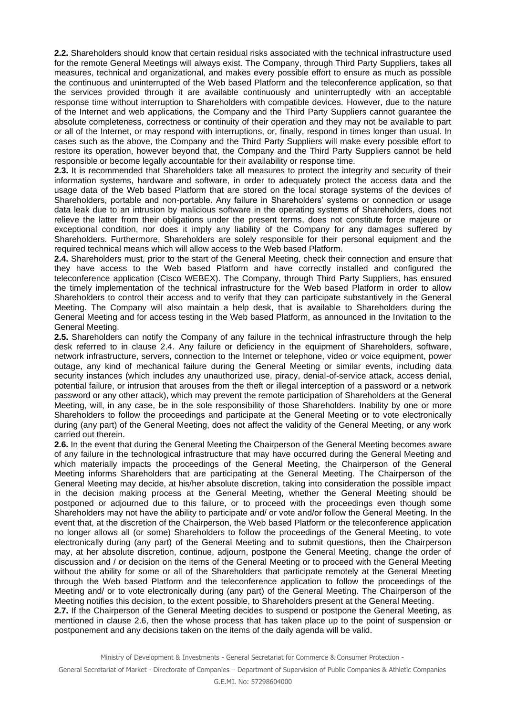**2.2.** Shareholders should know that certain residual risks associated with the technical infrastructure used for the remote General Meetings will always exist. The Company, through Third Party Suppliers, takes all measures, technical and organizational, and makes every possible effort to ensure as much as possible the continuous and uninterrupted of the Web based Platform and the teleconference application, so that the services provided through it are available continuously and uninterruptedly with an acceptable response time without interruption to Shareholders with compatible devices. However, due to the nature of the Internet and web applications, the Company and the Third Party Suppliers cannot guarantee the absolute completeness, correctness or continuity of their operation and they may not be available to part or all of the Internet, or may respond with interruptions, or, finally, respond in times longer than usual. In cases such as the above, the Company and the Third Party Suppliers will make every possible effort to restore its operation, however beyond that, the Company and the Third Party Suppliers cannot be held responsible or become legally accountable for their availability or response time.

**2.3.** It is recommended that Shareholders take all measures to protect the integrity and security of their information systems, hardware and software, in order to adequately protect the access data and the usage data of the Web based Platform that are stored on the local storage systems of the devices of Shareholders, portable and non-portable. Any failure in Shareholders' systems or connection or usage data leak due to an intrusion by malicious software in the operating systems of Shareholders, does not relieve the latter from their obligations under the present terms, does not constitute force majeure or exceptional condition, nor does it imply any liability of the Company for any damages suffered by Shareholders. Furthermore, Shareholders are solely responsible for their personal equipment and the required technical means which will allow access to the Web based Platform.

**2.4.** Shareholders must, prior to the start of the General Meeting, check their connection and ensure that they have access to the Web based Platform and have correctly installed and configured the teleconference application (Cisco WEBEX). The Company, through Third Party Suppliers, has ensured the timely implementation of the technical infrastructure for the Web based Platform in order to allow Shareholders to control their access and to verify that they can participate substantively in the General Meeting. The Company will also maintain a help desk, that is available to Shareholders during the General Meeting and for access testing in the Web based Platform, as announced in the Invitation to the General Meeting.

**2.5.** Shareholders can notify the Company of any failure in the technical infrastructure through the help desk referred to in clause 2.4. Any failure or deficiency in the equipment of Shareholders, software, network infrastructure, servers, connection to the Internet or telephone, video or voice equipment, power outage, any kind of mechanical failure during the General Meeting or similar events, including data security instances (which includes any unauthorized use, piracy, denial-of-service attack, access denial, potential failure, or intrusion that arouses from the theft or illegal interception of a password or a network password or any other attack), which may prevent the remote participation of Shareholders at the General Meeting, will, in any case, be in the sole responsibility of those Shareholders. Inability by one or more Shareholders to follow the proceedings and participate at the General Meeting or to vote electronically during (any part) of the General Meeting, does not affect the validity of the General Meeting, or any work carried out therein.

**2.6.** In the event that during the General Meeting the Chairperson of the General Meeting becomes aware of any failure in the technological infrastructure that may have occurred during the General Meeting and which materially impacts the proceedings of the General Meeting, the Chairperson of the General Meeting informs Shareholders that are participating at the General Meeting. The Chairperson of the General Meeting may decide, at his/her absolute discretion, taking into consideration the possible impact in the decision making process at the General Meeting, whether the General Meeting should be postponed or adjourned due to this failure, or to proceed with the proceedings even though some Shareholders may not have the ability to participate and/ or vote and/or follow the General Meeting. In the event that, at the discretion of the Chairperson, the Web based Platform or the teleconference application no longer allows all (or some) Shareholders to follow the proceedings of the General Meeting, to vote electronically during (any part) of the General Meeting and to submit questions, then the Chairperson may, at her absolute discretion, continue, adjourn, postpone the General Meeting, change the order of discussion and / or decision on the items of the General Meeting or to proceed with the General Meeting without the ability for some or all of the Shareholders that participate remotely at the General Meeting through the Web based Platform and the teleconference application to follow the proceedings of the Meeting and/ or to vote electronically during (any part) of the General Meeting. The Chairperson of the Meeting notifies this decision, to the extent possible, to Shareholders present at the General Meeting. **2.7.** If the Chairperson of the General Meeting decides to suspend or postpone the General Meeting, as

mentioned in clause 2.6, then the whose process that has taken place up to the point of suspension or postponement and any decisions taken on the items of the daily agenda will be valid.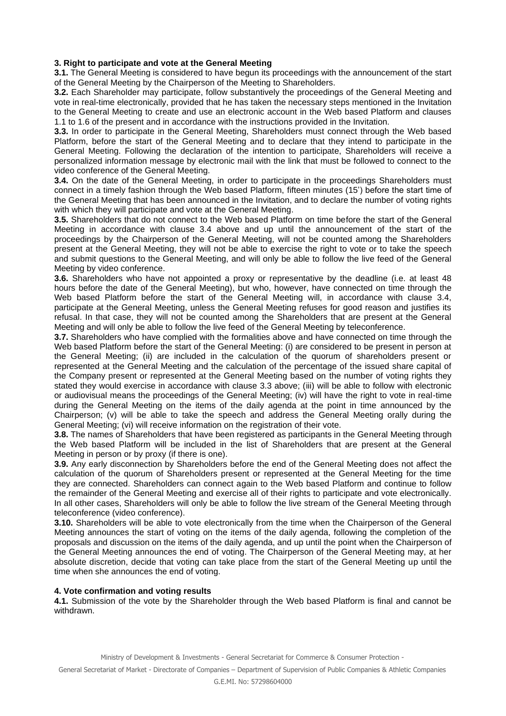### **3. Right to participate and vote at the General Meeting**

**3.1.** The General Meeting is considered to have begun its proceedings with the announcement of the start of the General Meeting by the Chairperson of the Meeting to Shareholders.

**3.2.** Each Shareholder may participate, follow substantively the proceedings of the General Meeting and vote in real-time electronically, provided that he has taken the necessary steps mentioned in the Invitation to the General Meeting to create and use an electronic account in the Web based Platform and clauses 1.1 to 1.6 of the present and in accordance with the instructions provided in the Invitation.

**3.3.** In order to participate in the General Meeting, Shareholders must connect through the Web based Platform, before the start of the General Meeting and to declare that they intend to participate in the General Meeting. Following the declaration of the intention to participate, Shareholders will receive a personalized information message by electronic mail with the link that must be followed to connect to the video conference of the General Meeting.

**3.4.** On the date of the General Meeting, in order to participate in the proceedings Shareholders must connect in a timely fashion through the Web based Platform, fifteen minutes (15') before the start time of the General Meeting that has been announced in the Invitation, and to declare the number of voting rights with which they will participate and vote at the General Meeting.

**3.5.** Shareholders that do not connect to the Web based Platform on time before the start of the General Meeting in accordance with clause 3.4 above and up until the announcement of the start of the proceedings by the Chairperson of the General Meeting, will not be counted among the Shareholders present at the General Meeting, they will not be able to exercise the right to vote or to take the speech and submit questions to the General Meeting, and will only be able to follow the live feed of the General Meeting by video conference.

**3.6.** Shareholders who have not appointed a proxy or representative by the deadline (i.e. at least 48 hours before the date of the General Meeting), but who, however, have connected on time through the Web based Platform before the start of the General Meeting will, in accordance with clause 3.4, participate at the General Meeting, unless the General Meeting refuses for good reason and justifies its refusal. In that case, they will not be counted among the Shareholders that are present at the General Meeting and will only be able to follow the live feed of the General Meeting by teleconference.

**3.7.** Shareholders who have complied with the formalities above and have connected on time through the Web based Platform before the start of the General Meeting: (i) are considered to be present in person at the General Meeting; (ii) are included in the calculation of the quorum of shareholders present or represented at the General Meeting and the calculation of the percentage of the issued share capital of the Company present or represented at the General Meeting based on the number of voting rights they stated they would exercise in accordance with clause 3.3 above; (iii) will be able to follow with electronic or audiovisual means the proceedings of the General Meeting; (iv) will have the right to vote in real-time during the General Meeting on the items of the daily agenda at the point in time announced by the Chairperson; (v) will be able to take the speech and address the General Meeting orally during the General Meeting; (vi) will receive information on the registration of their vote.

**3.8.** The names of Shareholders that have been registered as participants in the General Meeting through the Web based Platform will be included in the list of Shareholders that are present at the General Meeting in person or by proxy (if there is one).

**3.9.** Any early disconnection by Shareholders before the end of the General Meeting does not affect the calculation of the quorum of Shareholders present or represented at the General Meeting for the time they are connected. Shareholders can connect again to the Web based Platform and continue to follow the remainder of the General Meeting and exercise all of their rights to participate and vote electronically. In all other cases, Shareholders will only be able to follow the live stream of the General Meeting through teleconference (video conference).

**3.10.** Shareholders will be able to vote electronically from the time when the Chairperson of the General Meeting announces the start of voting on the items of the daily agenda, following the completion of the proposals and discussion on the items of the daily agenda, and up until the point when the Chairperson of the General Meeting announces the end of voting. The Chairperson of the General Meeting may, at her absolute discretion, decide that voting can take place from the start of the General Meeting up until the time when she announces the end of voting.

#### **4. Vote confirmation and voting results**

**4.1.** Submission of the vote by the Shareholder through the Web based Platform is final and cannot be withdrawn.